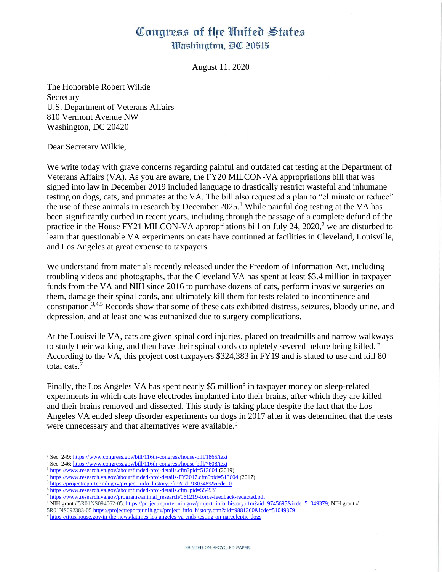## Congress of the United States Washington, DC 20515

August 11, 2020

The Honorable Robert Wilkie Secretary U.S. Department of Veterans Affairs 810 Vermont Avenue NW Washington, DC 20420

Dear Secretary Wilkie,

We write today with grave concerns regarding painful and outdated cat testing at the Department of Veterans Affairs (VA). As you are aware, the FY20 MILCON-VA appropriations bill that was signed into law in December 2019 included language to drastically restrict wasteful and inhumane testing on dogs, cats, and primates at the VA. The bill also requested a plan to "eliminate or reduce" the use of these animals in research by December  $2025<sup>1</sup>$  While painful dog testing at the VA has been significantly curbed in recent years, including through the passage of a complete defund of the practice in the House FY21 MILCON-VA appropriations bill on July 24, 2020,<sup>2</sup> we are disturbed to learn that questionable VA experiments on cats have continued at facilities in Cleveland, Louisville, and Los Angeles at great expense to taxpayers.

We understand from materials recently released under the Freedom of Information Act, including troubling videos and photographs, that the Cleveland VA has spent at least \$3.4 million in taxpayer funds from the VA and NIH since 2016 to purchase dozens of cats, perform invasive surgeries on them, damage their spinal cords, and ultimately kill them for tests related to incontinence and constipation.3,4,5 Records show that some of these cats exhibited distress, seizures, bloody urine, and depression, and at least one was euthanized due to surgery complications.

At the Louisville VA, cats are given spinal cord injuries, placed on treadmills and narrow walkways to study their walking, and then have their spinal cords completely severed before being killed. <sup>6</sup> According to the VA, this project cost taxpayers \$324,383 in FY19 and is slated to use and kill 80 total cats.<sup>7</sup>

Finally, the Los Angeles VA has spent nearly \$5 million<sup>8</sup> in taxpayer money on sleep-related experiments in which cats have electrodes implanted into their brains, after which they are killed and their brains removed and dissected. This study is taking place despite the fact that the Los Angeles VA ended sleep disorder experiments on dogs in 2017 after it was determined that the tests were unnecessary and that alternatives were available.<sup>9</sup>

<sup>&</sup>lt;sup>1</sup> Sec. 249[: https://www.congress.gov/bill/116th-congress/house-bill/1865/text](https://www.congress.gov/bill/116th-congress/house-bill/1865/text)

<sup>&</sup>lt;sup>2</sup> Sec. 246[: https://www.congress.gov/bill/116th-congress/house-bill/7608/text](https://www.congress.gov/bill/116th-congress/house-bill/7608/text)

<sup>&</sup>lt;sup>3</sup> <https://www.research.va.gov/about/funded-proj-details.cfm?pid=513604> (2019)

<sup>4</sup> <https://www.research.va.gov/about/funded-proj-details-FY2017.cfm?pid=513604> (2017)

<sup>&</sup>lt;sup>5</sup> [https://projectreporter.nih.gov/project\\_info\\_history.cfm?aid=9303489&icde=0](https://projectreporter.nih.gov/project_info_history.cfm?aid=9303489&icde=0)

<sup>6</sup> <https://www.research.va.gov/about/funded-proj-details.cfm?pid=554931>

<sup>7</sup> [https://www.research.va.gov/programs/animal\\_research/061219-force-feedback-redacted.pdf](https://www.research.va.gov/programs/animal_research/061219-force-feedback-redacted.pdf)

 $8$  NIH grant #5R01NS094062-05[: https://projectreporter.nih.gov/project\\_info\\_history.cfm?aid=9745695&icde=51049379;](https://projectreporter.nih.gov/project_info_history.cfm?aid=9745695&icde=51049379) NIH grant #

<sup>5</sup>R01NS092383-05 [https://projectreporter.nih.gov/project\\_info\\_history.cfm?aid=9881360&icde=51049379](https://projectreporter.nih.gov/project_info_history.cfm?aid=9881360&icde=51049379)

<sup>&</sup>lt;sup>9</sup> <https://titus.house.gov/in-the-news/latimes-los-angeles-va-ends-testing-on-narcoleptic-dogs>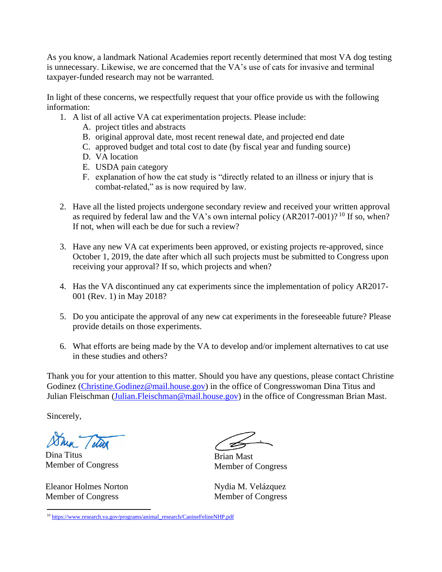As you know, a landmark National Academies report recently determined that most VA dog testing is unnecessary. Likewise, we are concerned that the VA's use of cats for invasive and terminal taxpayer-funded research may not be warranted.

In light of these concerns, we respectfully request that your office provide us with the following information:

- 1. A list of all active VA cat experimentation projects. Please include:
	- A. project titles and abstracts
	- B. original approval date, most recent renewal date, and projected end date
	- C. approved budget and total cost to date (by fiscal year and funding source)
	- D. VA location
	- E. USDA pain category
	- F. explanation of how the cat study is "directly related to an illness or injury that is combat-related," as is now required by law.
- 2. Have all the listed projects undergone secondary review and received your written approval as required by federal law and the VA's own internal policy  $(AR2017-001)$ ? <sup>10</sup> If so, when? If not, when will each be due for such a review?
- 3. Have any new VA cat experiments been approved, or existing projects re-approved, since October 1, 2019, the date after which all such projects must be submitted to Congress upon receiving your approval? If so, which projects and when?
- 4. Has the VA discontinued any cat experiments since the implementation of policy AR2017- 001 (Rev. 1) in May 2018?
- 5. Do you anticipate the approval of any new cat experiments in the foreseeable future? Please provide details on those experiments.
- 6. What efforts are being made by the VA to develop and/or implement alternatives to cat use in these studies and others?

Thank you for your attention to this matter. Should you have any questions, please contact Christine Godinez [\(Christine.Godinez@mail.house.gov\)](mailto:Christine.Godinez@mail.house.gov) in the office of Congresswoman Dina Titus and Julian Fleischman (Julian. Fleischman@mail.house.gov) in the office of Congressman Brian Mast.

Sincerely,

Dina Titus Member of Congress

Eleanor Holmes Norton Member of Congress

Brian Mast Member of Congress

Nydia M. Velázquez Member of Congress

<sup>10</sup> [https://www.research.va.gov/programs/animal\\_research/CanineFelineNHP.pdf](https://www.research.va.gov/programs/animal_research/CanineFelineNHP.pdf)